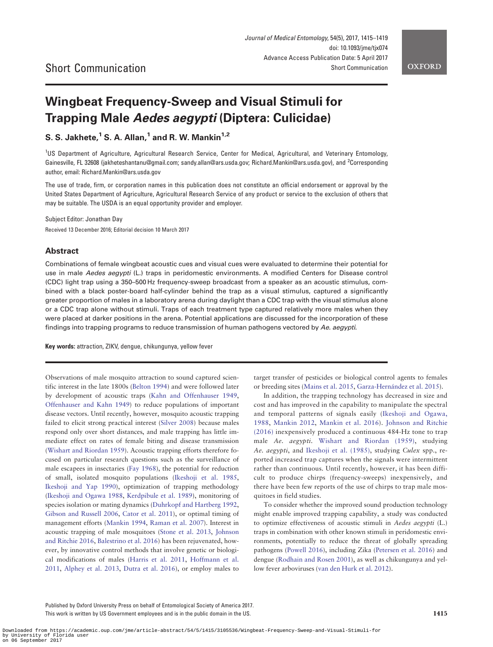# Wingbeat Frequency-Sweep and Visual Stimuli for Trapping Male Aedes aegypti (Diptera: Culicidae)

# S. S. Jakhete, $1$  S. A. Allan, $1$  and R. W. Mankin $1.2$

<sup>1</sup>US Department of Agriculture, Agricultural Research Service, Center for Medical, Agricultural, and Veterinary Entomology, Gainesville, FL 32608 (jakheteshantanu@gmail.com; sandy.allan@ars.usda.gov; Richard.Mankin@ars.usda.gov), and <sup>2</sup>Corresponding author, email: Richard.Mankin@ars.usda.gov

The use of trade, firm, or corporation names in this publication does not constitute an official endorsement or approval by the United States Department of Agriculture, Agricultural Research Service of any product or service to the exclusion of others that may be suitable. The USDA is an equal opportunity provider and employer.

Subject Editor: Jonathan Day

Received 13 December 2016; Editorial decision 10 March 2017

# Abstract

Combinations of female wingbeat acoustic cues and visual cues were evaluated to determine their potential for use in male Aedes aegypti (L.) traps in peridomestic environments. A modified Centers for Disease control (CDC) light trap using a 350–500 Hz frequency-sweep broadcast from a speaker as an acoustic stimulus, combined with a black poster-board half-cylinder behind the trap as a visual stimulus, captured a significantly greater proportion of males in a laboratory arena during daylight than a CDC trap with the visual stimulus alone or a CDC trap alone without stimuli. Traps of each treatment type captured relatively more males when they were placed at darker positions in the arena. Potential applications are discussed for the incorporation of these findings into trapping programs to reduce transmission of human pathogens vectored by Ae. aegypti.

Key words: attraction, ZIKV, dengue, chikungunya, yellow fever

Observations of male mosquito attraction to sound captured scientific interest in the late 1800s ([Belton 1994\)](#page-3-0) and were followed later by development of acoustic traps [\(Kahn and Offenhauser 1949](#page-4-0), [Offenhauser and Kahn 1949\)](#page-4-0) to reduce populations of important disease vectors. Until recently, however, mosquito acoustic trapping failed to elicit strong practical interest [\(Silver 2008\)](#page-4-0) because males respond only over short distances, and male trapping has little immediate effect on rates of female biting and disease transmission [\(Wishart and Riordan 1959](#page-4-0)). Acoustic trapping efforts therefore focused on particular research questions such as the surveillance of male escapees in insectaries ([Fay 1968\)](#page-4-0), the potential for reduction of small, isolated mosquito populations [\(Ikeshoji et al. 1985](#page-4-0), [Ikeshoji and Yap 1990](#page-4-0)), optimization of trapping methodology [\(Ikeshoji and Ogawa 1988](#page-4-0), [Kerdpibule et al. 1989](#page-4-0)), monitoring of species isolation or mating dynamics [\(Duhrkopf and Hartberg 1992](#page-3-0), [Gibson and Russell 2006,](#page-4-0) [Cator et al. 2011\)](#page-3-0), or optimal timing of management efforts ([Mankin 1994](#page-4-0), [Raman et al. 2007](#page-4-0)). Interest in acoustic trapping of male mosquitoes [\(Stone et al. 2013,](#page-4-0) [Johnson](#page-4-0) [and Ritchie 2016](#page-4-0), [Balestrino et al. 2016\)](#page-3-0) has been rejuvenated, however, by innovative control methods that involve genetic or biological modifications of males ([Harris et al. 2011,](#page-4-0) [Hoffmann et al.](#page-4-0) [2011](#page-4-0), [Alphey et al. 2013,](#page-3-0) [Dutra et al. 2016\)](#page-4-0), or employ males to target transfer of pesticides or biological control agents to females or breeding sites [\(Mains et al. 2015](#page-4-0), [Garza-Hern](#page-4-0)á[ndez et al. 2015\)](#page-4-0).

In addition, the trapping technology has decreased in size and cost and has improved in the capability to manipulate the spectral and temporal patterns of signals easily [\(Ikeshoji and Ogawa,](#page-4-0) [1988,](#page-4-0) [Mankin 2012](#page-4-0), [Mankin et al. 2016\)](#page-4-0). [Johnson and Ritchie](#page-4-0) [\(2016\)](#page-4-0) inexpensively produced a continuous 484-Hz tone to trap male Ae. aegypti. [Wishart and Riordan \(1959\),](#page-4-0) studying Ae. aegypti, and [Ikeshoji et al. \(1985\)](#page-4-0), studying Culex spp., reported increased trap captures when the signals were intermittent rather than continuous. Until recently, however, it has been difficult to produce chirps (frequency-sweeps) inexpensively, and there have been few reports of the use of chirps to trap male mosquitoes in field studies.

To consider whether the improved sound production technology might enable improved trapping capability, a study was conducted to optimize effectiveness of acoustic stimuli in Aedes aegypti (L.) traps in combination with other known stimuli in peridomestic environments, potentially to reduce the threat of globally spreading pathogens ([Powell 2016](#page-4-0)), including Zika ([Petersen et al. 2016\)](#page-4-0) and dengue ([Rodhain and Rosen 2001](#page-4-0)), as well as chikungunya and yellow fever arboviruses [\(van den Hurk et al. 2012\)](#page-4-0).

Published by Oxford University Press on behalf of Entomological Society of America 2017. This work is written by US Government employees and is in the public domain in the US.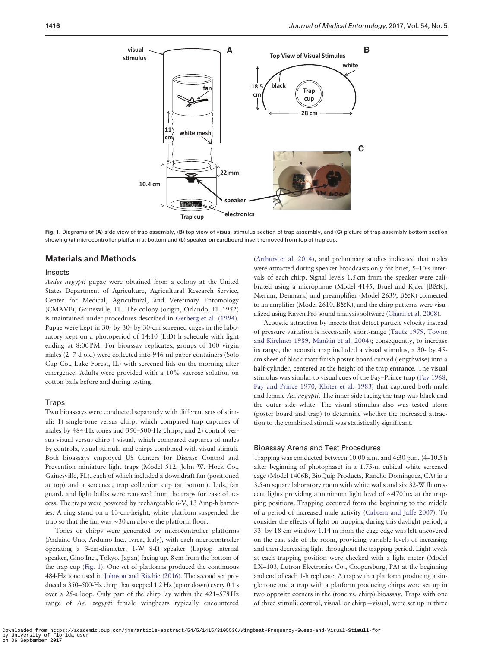

Fig. 1. Diagrams of (A) side view of trap assembly, (B) top view of visual stimulus section of trap assembly, and (C) picture of trap assembly bottom section showing (a) microcontroller platform at bottom and (b) speaker on cardboard insert removed from top of trap cup.

### Materials and Methods

#### Insects

Aedes aegypti pupae were obtained from a colony at the United States Department of Agriculture, Agricultural Research Service, Center for Medical, Agricultural, and Veterinary Entomology (CMAVE), Gainesville, FL. The colony (origin, Orlando, FL 1952) is maintained under procedures described in [Gerberg et al. \(1994\)](#page-4-0). Pupae were kept in 30- by 30- by 30-cm screened cages in the laboratory kept on a photoperiod of 14:10 (L:D) h schedule with light ending at 8:00 PM. For bioassay replicates, groups of 100 virgin males (2–7 d old) were collected into 946-ml paper containers (Solo Cup Co., Lake Forest, IL) with screened lids on the morning after emergence. Adults were provided with a 10% sucrose solution on cotton balls before and during testing.

#### Traps

Two bioassays were conducted separately with different sets of stimuli: 1) single-tone versus chirp, which compared trap captures of males by 484-Hz tones and 350–500-Hz chirps, and 2) control versus visual versus chirp  $+$  visual, which compared captures of males by controls, visual stimuli, and chirps combined with visual stimuli. Both bioassays employed US Centers for Disease Control and Prevention miniature light traps (Model 512, John W. Hock Co., Gainesville, FL), each of which included a downdraft fan (positioned at top) and a screened, trap collection cup (at bottom). Lids, fan guard, and light bulbs were removed from the traps for ease of access. The traps were powered by rechargeable 6-V, 13 Amp-h batteries. A ring stand on a 13-cm-height, white platform suspended the trap so that the fan was  ${\sim}30\,\mathrm{cm}$  above the platform floor.

Tones or chirps were generated by microcontroller platforms (Arduino Uno, Arduino Inc., Ivrea, Italy), with each microcontroller operating a 3-cm-diameter,  $1-W$  8- $\Omega$  speaker (Laptop internal speaker, Gino Inc., Tokyo, Japan) facing up, 8 cm from the bottom of the trap cup (Fig. 1). One set of platforms produced the continuous 484-Hz tone used in [Johnson and Ritchie \(2016\).](#page-4-0) The second set produced a 350–500-Hz chirp that stepped 1.2 Hz (up or down) every 0.1 s over a 25-s loop. Only part of the chirp lay within the 421–578Hz range of Ae. aegypti female wingbeats typically encountered

[\(Arthurs et al. 2014](#page-3-0)), and preliminary studies indicated that males were attracted during speaker broadcasts only for brief, 5–10-s intervals of each chirp. Signal levels 1.5 cm from the speaker were calibrated using a microphone (Model 4145, Bruel and Kjaer [B&K], Nærum, Denmark) and preamplifier (Model 2639, B&K) connected to an amplifier (Model 2610, B&K), and the chirp patterns were visualized using Raven Pro sound analysis software [\(Charif et al. 2008](#page-3-0)).

Acoustic attraction by insects that detect particle velocity instead of pressure variation is necessarily short-range ([Tautz 1979,](#page-4-0) [Towne](#page-4-0) [and Kirchner 1989,](#page-4-0) [Mankin et al. 2004\)](#page-4-0); consequently, to increase its range, the acoustic trap included a visual stimulus, a 30- by 45 cm sheet of black matt finish poster board curved (lengthwise) into a half-cylinder, centered at the height of the trap entrance. The visual stimulus was similar to visual cues of the Fay–Prince trap [\(Fay 1968](#page-4-0), [Fay and Prince 1970](#page-4-0), [Kloter et al. 1983](#page-4-0)) that captured both male and female Ae. aegypti. The inner side facing the trap was black and the outer side white. The visual stimulus also was tested alone (poster board and trap) to determine whether the increased attraction to the combined stimuli was statistically significant.

#### Bioassay Arena and Test Procedures

Trapping was conducted between 10:00 a.m. and 4:30 p.m. (4–10.5 h after beginning of photophase) in a 1.75-m cubical white screened cage (Model 1406B, BioQuip Products, Rancho Dominguez, CA) in a 3.5-m square laboratory room with white walls and six 32-W fluorescent lights providing a minimum light level of  $\sim$ 470 lux at the trapping positions. Trapping occurred from the beginning to the middle of a period of increased male activity ([Cabrera and Jaffe 2007](#page-3-0)). To consider the effects of light on trapping during this daylight period, a 33- by 18-cm window 1.14 m from the cage edge was left uncovered on the east side of the room, providing variable levels of increasing and then decreasing light throughout the trapping period. Light levels at each trapping position were checked with a light meter (Model LX–103, Lutron Electronics Co., Coopersburg, PA) at the beginning and end of each 1-h replicate. A trap with a platform producing a single tone and a trap with a platform producing chirps were set up in two opposite corners in the (tone vs. chirp) bioassay. Traps with one of three stimuli: control, visual, or chirp  $+$ visual, were set up in three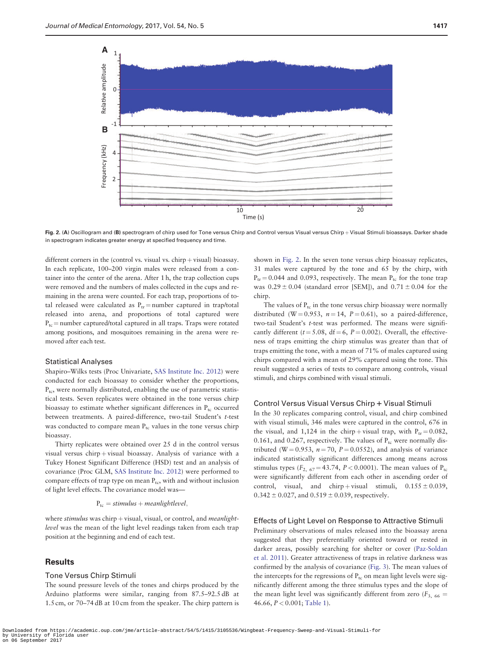<span id="page-2-0"></span>

Fig. 2. (A) Oscillogram and (B) spectrogram of chirp used for Tone versus Chirp and Control versus Visual versus Chirp + Visual Stimuli bioassays. Darker shade in spectrogram indicates greater energy at specified frequency and time.

different corners in the (control vs. visual vs.  $chirp + visual$ ) bioassay. In each replicate, 100–200 virgin males were released from a container into the center of the arena. After 1 h, the trap collection cups were removed and the numbers of males collected in the cups and remaining in the arena were counted. For each trap, proportions of total released were calculated as  $P_{tr}$  = number captured in trap/total released into arena, and proportions of total captured were  $P_{tc}$  = number captured/total captured in all traps. Traps were rotated among positions, and mosquitoes remaining in the arena were removed after each test.

#### Statistical Analyses

Shapiro–Wilks tests (Proc Univariate, [SAS Institute Inc. 2012\)](#page-4-0) were conducted for each bioassay to consider whether the proportions, P<sub>tc</sub>, were normally distributed, enabling the use of parametric statistical tests. Seven replicates were obtained in the tone versus chirp bioassay to estimate whether significant differences in  $P_{\text{tc}}$  occurred between treatments. A paired-difference, two-tail Student's t-test was conducted to compare mean  $P_{tc}$  values in the tone versus chirp bioassay.

Thirty replicates were obtained over 25 d in the control versus visual versus chirp  $+$  visual bioassay. Analysis of variance with a Tukey Honest Significant Difference (HSD) test and an analysis of covariance (Proc GLM, [SAS Institute Inc. 2012\)](#page-4-0) were performed to compare effects of trap type on mean  $P_{tc}$ , with and without inclusion of light level effects. The covariance model was—

$$
P_{tc} = stimulus + meaninght level,
$$

where stimulus was chirp  $+$  visual, visual, or control, and meanlightlevel was the mean of the light level readings taken from each trap position at the beginning and end of each test.

## **Results**

### Tone Versus Chirp Stimuli

The sound pressure levels of the tones and chirps produced by the Arduino platforms were similar, ranging from 87.5–92.5 dB at 1.5 cm, or 70–74 dB at 10 cm from the speaker. The chirp pattern is

shown in Fig. 2. In the seven tone versus chirp bioassay replicates, 31 males were captured by the tone and 65 by the chirp, with  $P_{tr} = 0.044$  and 0.093, respectively. The mean  $P_{tc}$  for the tone trap was  $0.29 \pm 0.04$  (standard error [SEM]), and  $0.71 \pm 0.04$  for the chirp.

The values of  $P_{tc}$  in the tone versus chirp bioassay were normally distributed (W = 0.953,  $n = 14$ ,  $P = 0.61$ ), so a paired-difference, two-tail Student's t-test was performed. The means were significantly different ( $t = 5.08$ , df = 6, P = 0.002). Overall, the effectiveness of traps emitting the chirp stimulus was greater than that of traps emitting the tone, with a mean of 71% of males captured using chirps compared with a mean of 29% captured using the tone. This result suggested a series of tests to compare among controls, visual stimuli, and chirps combined with visual stimuli.

## Control Versus Visual Versus Chirp + Visual Stimuli

In the 30 replicates comparing control, visual, and chirp combined with visual stimuli, 346 males were captured in the control, 676 in the visual, and 1,124 in the chirp+visual trap, with  $P_{tr} = 0.082$ , 0.161, and 0.267, respectively. The values of  $P_{tc}$  were normally distributed (W = 0.953,  $n = 70$ ,  $P = 0.0552$ ), and analysis of variance indicated statistically significant differences among means across stimulus types ( $F_{2, 67} = 43.74$ ,  $P < 0.0001$ ). The mean values of P<sub>tc</sub> were significantly different from each other in ascending order of control, visual, and chirp + visual stimuli,  $0.155 \pm 0.039$ ,  $0.342 \pm 0.027$ , and  $0.519 \pm 0.039$ , respectively.

#### Effects of Light Level on Response to Attractive Stimuli

Preliminary observations of males released into the bioassay arena suggested that they preferentially oriented toward or rested in darker areas, possibly searching for shelter or cover ([Paz-Soldan](#page-4-0) [et al. 2011\)](#page-4-0). Greater attractiveness of traps in relative darkness was confirmed by the analysis of covariance [\(Fig. 3\)](#page-3-0). The mean values of the intercepts for the regressions of  $P_{tc}$  on mean light levels were significantly different among the three stimulus types and the slope of the mean light level was significantly different from zero ( $F_{3, 66}$  = 46.66, P < 0.001; [Table 1](#page-3-0)).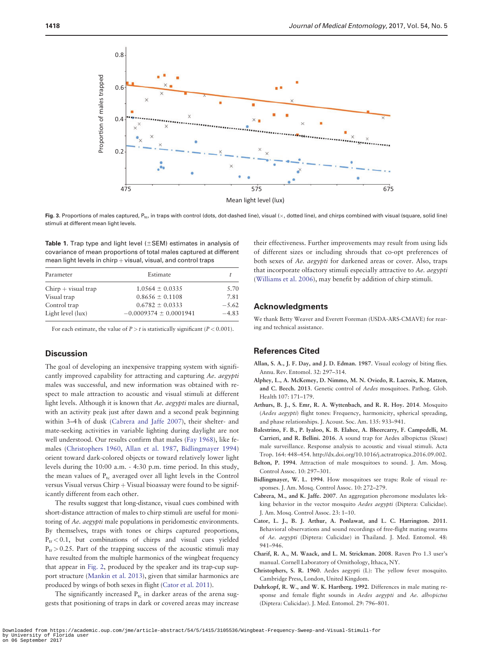<span id="page-3-0"></span>

Fig. 3. Proportions of males captured, P<sub>tc</sub>, in traps with control (dots, dot-dashed line), visual (x, dotted line), and chirps combined with visual (square, solid line) stimuli at different mean light levels.

Table 1. Trap type and light level  $(\pm$ SEM) estimates in analysis of covariance of mean proportions of total males captured at different mean light levels in  $chirp + visual$ , visual, and control traps

| Parameter             | Estimate                   |         |
|-----------------------|----------------------------|---------|
| $Chirp + visual trap$ | $1.0564 \pm 0.0335$        | 5.70    |
| Visual trap           | $0.8656 \pm 0.1108$        | 7.81    |
| Control trap          | $0.6782 \pm 0.0333$        | $-5.62$ |
| Light level (lux)     | $-0.0009374 \pm 0.0001941$ | $-4.83$ |

For each estimate, the value of  $P > t$  is statistically significant ( $P < 0.001$ ).

# **Discussion**

The goal of developing an inexpensive trapping system with significantly improved capability for attracting and capturing Ae. aegypti males was successful, and new information was obtained with respect to male attraction to acoustic and visual stimuli at different light levels. Although it is known that Ae. aegypti males are diurnal, with an activity peak just after dawn and a second peak beginning within 3–4 h of dusk (Cabrera and Jaffe 2007), their shelter- and mate-seeking activities in variable lighting during daylight are not well understood. Our results confirm that males [\(Fay 1968\)](#page-4-0), like females (Christophers 1960, Allan et al. 1987, Bidlingmayer 1994) orient toward dark-colored objects or toward relatively lower light levels during the 10:00 a.m. - 4:30 p.m. time period. In this study, the mean values of  $P_{tc}$  averaged over all light levels in the Control versus Visual versus  $Chirp + Visual \, biosasy$  were found to be significantly different from each other.

The results suggest that long-distance, visual cues combined with short-distance attraction of males to chirp stimuli are useful for monitoring of Ae. aegypti male populations in peridomestic environments. By themselves, traps with tones or chirps captured proportions,  $P_{tr}$  < 0.1, but combinations of chirps and visual cues yielded  $P_{tr}$  > 0.25. Part of the trapping success of the acoustic stimuli may have resulted from the multiple harmonics of the wingbeat frequency that appear in [Fig. 2](#page-2-0), produced by the speaker and its trap-cup support structure [\(Mankin et al. 2013\)](#page-4-0), given that similar harmonics are produced by wings of both sexes in flight (Cator et al. 2011).

The significantly increased  $P_{tc}$  in darker areas of the arena suggests that positioning of traps in dark or covered areas may increase their effectiveness. Further improvements may result from using lids of different sizes or including shrouds that co-opt preferences of both sexes of Ae. aegypti for darkened areas or cover. Also, traps that incorporate olfactory stimuli especially attractive to Ae. aegypti [\(Williams et al. 2006](#page-4-0)), may benefit by addition of chirp stimuli.

## Acknowledgments

We thank Betty Weaver and Everett Foreman (USDA-ARS-CMAVE) for rearing and technical assistance.

## References Cited

- Allan, S. A., J. F. Day, and J. D. Edman. 1987. Visual ecology of biting flies. Annu. Rev. Entomol. 32: 297–314.
- Alphey, L., A. McKemey, D. Nimmo, M. N. Oviedo, R. Lacroix, K. Matzen, and C. Beech. 2013. Genetic control of Aedes mosquitoes. Pathog. Glob. Health 107: 171–179.
- Arthurs, B. J., S. Emr, R. A. Wyttenbach, and R. R. Hoy. 2014. Mosquito (Aedes aegypti) flight tones: Frequency, harmonicity, spherical spreading, and phase relationships. J. Acoust. Soc. Am. 135: 933–941.
- Balestrino, F. B., P. Iyaloo, K. B. Elahee, A. Bheercarry, F. Campedelli, M. Carrieri, and R. Bellini. 2016. A sound trap for Aedes albopictus (Skuse) male surveillance. Response analysis to acoustic and visual stimuli. Acta Trop. 164: 448–454. [http://dx.doi.org/10.1016/j.actratropica.2016.09.002.](http://dx.doi.org/10.1016/j.actratropica.2016.09.002)
- Belton, P. 1994. Attraction of male mosquitoes to sound. J. Am. Mosq. Control Assoc. 10: 297–301.
- Bidlingmayer, W. L. 1994. How mosquitoes see traps: Role of visual responses. J. Am. Mosq. Control Assoc. 10: 272–279.
- Cabrera, M., and K. Jaffe. 2007. An aggregation pheromone modulates lekking behavior in the vector mosquito Aedes aegypti (Diptera: Culicidae). J. Am. Mosq. Control Assoc. 23: 1–10.
- Cator, L. J., B. J. Arthur, A. Ponlawat, and L. C. Harrington. 2011. Behavioral observations and sound recordings of free-flight mating swarms of Ae. aegypti (Diptera: Culicidae) in Thailand. J. Med. Entomol. 48: 941–946.
- Charif, R. A., M. Waack, and L. M. Strickman. 2008. Raven Pro 1.3 user's manual. Cornell Laboratory of Ornithology, Ithaca, NY.
- Christophers, S. R. 1960. Aedes aegypti (L): The yellow fever mosquito. Cambridge Press, London, United Kingdom.
- Duhrkopf, R. W., and W. K. Hartberg. 1992. Differences in male mating response and female flight sounds in Aedes aegypti and Ae. albopictus (Diptera: Culicidae). J. Med. Entomol. 29: 796–801.